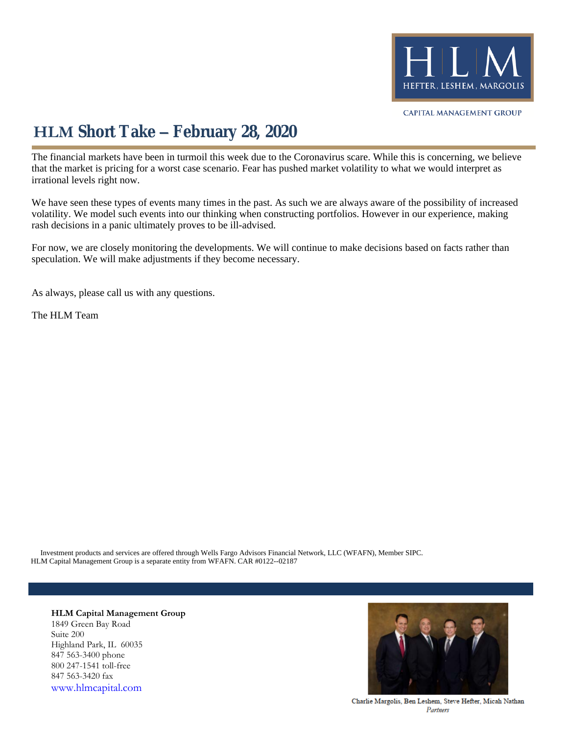

## **HLM Short Take – February 28, 2020**

The financial markets have been in turmoil this week due to the Coronavirus scare. While this is concerning, we believe that the market is pricing for a worst case scenario. Fear has pushed market volatility to what we would interpret as irrational levels right now.

We have seen these types of events many times in the past. As such we are always aware of the possibility of increased volatility. We model such events into our thinking when constructing portfolios. However in our experience, making rash decisions in a panic ultimately proves to be ill-advised.

For now, we are closely monitoring the developments. We will continue to make decisions based on facts rather than speculation. We will make adjustments if they become necessary.

As always, please call us with any questions.

The HLM Team

HLM Capital Management Group is a separate entity from WFAFN. CAR #0122--02187 Investment products and services are offered through Wells Fargo Advisors Financial Network, LLC (WFAFN), Member SIPC.

**HLM Capital Management Group** 1849 Green Bay Road Suite 200 Highland Park, IL 60035 847 563-3400 phone 800 247-1541 toll-free 847 563-3420 fax [www.hlmcapital.com](http://www.hlmcapital.com/)



Charlie Margolis, Ben Leshem, Steve Hefter, Micah Nathan Partners